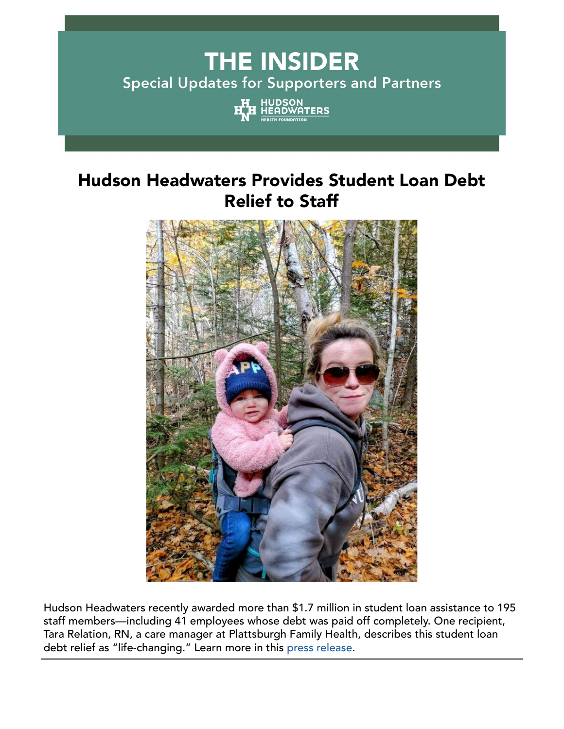# **THE INSIDER Special Updates for Supporters and Partners**



# Hudson Headwaters Provides Student Loan Debt Relief to Staff



Hudson Headwaters recently awarded more than \$1.7 million in student loan assistance to 195 staff members—including 41 employees whose debt was paid off completely. One recipient, Tara Relation, RN, a care manager at Plattsburgh Family Health, describes this student loan debt relief as "life-changing." Learn more in this [press release](https://www.hhhn.org/news/hudson-headwaters-provider-1-7-m-in-student-loan-debt-relief-to-staff/?bblinkid=259019433&bbemailid=38807605&bbejrid=-1991724300).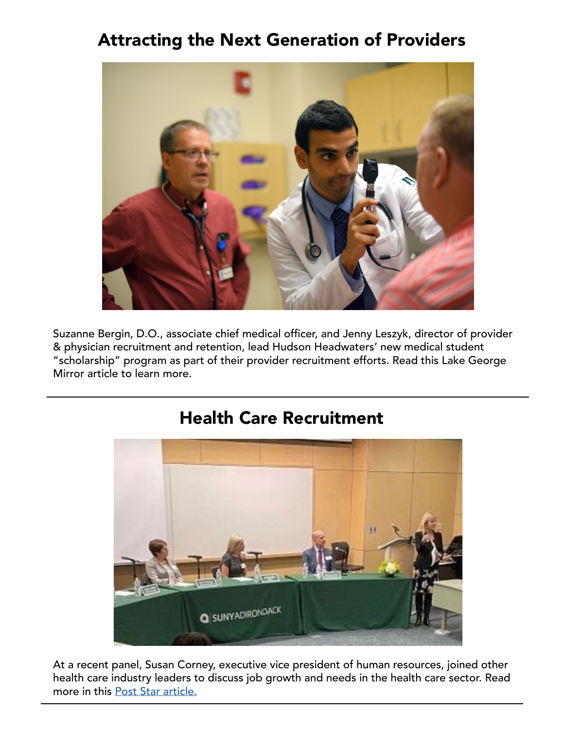# Attracting the Next Generation of Providers



Suzanne Bergin, D.O., associate chief medical officer, and Jenny Leszyk, director of provider & physician recruitment and retention, lead Hudson Headwaters' new medical student "scholarship" program as part of their provider recruitment efforts. Read this Lake George Mirror article to learn more.



### Health Care Recruitment

At a recent panel, Susan Corney, executive vice president of human resources, joined other health care industry leaders to discuss job growth and needs in the health care sector. Read more in this [Post Star article.](https://poststar.com/news/article_4fbd746d-e8db-5246-824b-c8bec99ab558.html?bblinkid=258964857&bbemailid=38807605&bbejrid=-1991724300)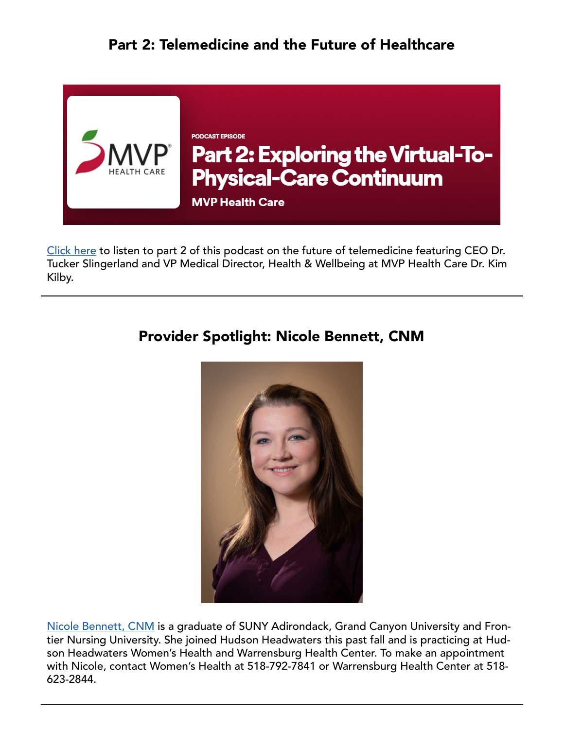#### Part 2: Telemedicine and the Future of Healthcare



[Click here](https://anchor.fm/mvp-health-care/episodes/Part-2-Exploring-the-Virtual-To-Physical-Care-Continuum-e1f6euv?bblinkid=258964532&bbemailid=38807605&bbejrid=-1991724300) to listen to part 2 of this podcast on the future of telemedicine featuring CEO Dr. Tucker Slingerland and VP Medical Director, Health & Wellbeing at MVP Health Care Dr. Kim Kilby.

#### Provider Spotlight: Nicole Bennett, CNM



[Nicole Bennett, CNM](https://www.hhhn.org/providers/?bblinkid=259254620&bbemailid=38807605&bbejrid=-1991724300#gallery-details-nicole-bennett-cnm) is a graduate of SUNY Adirondack, Grand Canyon University and Frontier Nursing University. She joined Hudson Headwaters this past fall and is practicing at Hudson Headwaters Women's Health and Warrensburg Health Center. To make an appointment with Nicole, contact Women's Health at 518-792-7841 or Warrensburg Health Center at 518- 623-2844.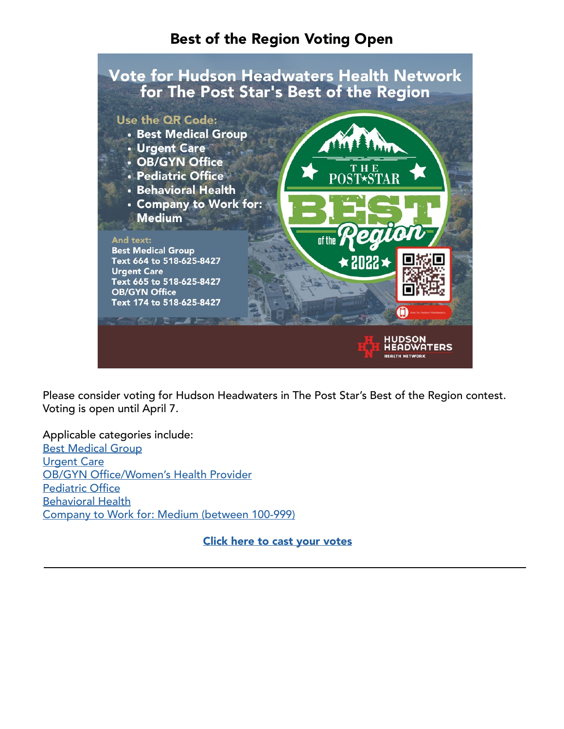#### Best of the Region Voting Open



Please consider voting for Hudson Headwaters in The Post Star's Best of the Region contest. Voting is open until April 7.

Applicable categories include: [Best Medical Group](http://poststar.secondstreetapp.com/Best-of-the-Region-2022/gallery?group=411625&bblinkid=259028275&bbemailid=38807605&bbejrid=-1991724300) [Urgent Care](http://poststar.secondstreetapp.com/Best-of-the-Region-2022/gallery?group=411625&bblinkid=259028275&bbemailid=38807605&bbejrid=-1991724300) [OB/GYN Office/Women's Health Provider](http://poststar.secondstreetapp.com/Best-of-the-Region-2022/gallery?group=411625&bblinkid=259028275&bbemailid=38807605&bbejrid=-1991724300) [Pediatric Office](http://poststar.secondstreetapp.com/Best-of-the-Region-2022/gallery?group=411625&bblinkid=259028275&bbemailid=38807605&bbejrid=-1991724300) [Behavioral Health](http://poststar.secondstreetapp.com/Best-of-the-Region-2022/gallery?group=411625&bblinkid=259028275&bbemailid=38807605&bbejrid=-1991724300) [Company to Work for: Medium \(between 100-999\)](http://poststar.secondstreetapp.com/Best-of-the-Region-2022/gallery?group=411625&bblinkid=259028275&bbemailid=38807605&bbejrid=-1991724300)

[Click here to cast your votes](http://poststar.secondstreetapp.com/Best-of-the-Region-2022/gallery?group=411625&bblinkid=259028275&bbemailid=38807605&bbejrid=-1991724300)